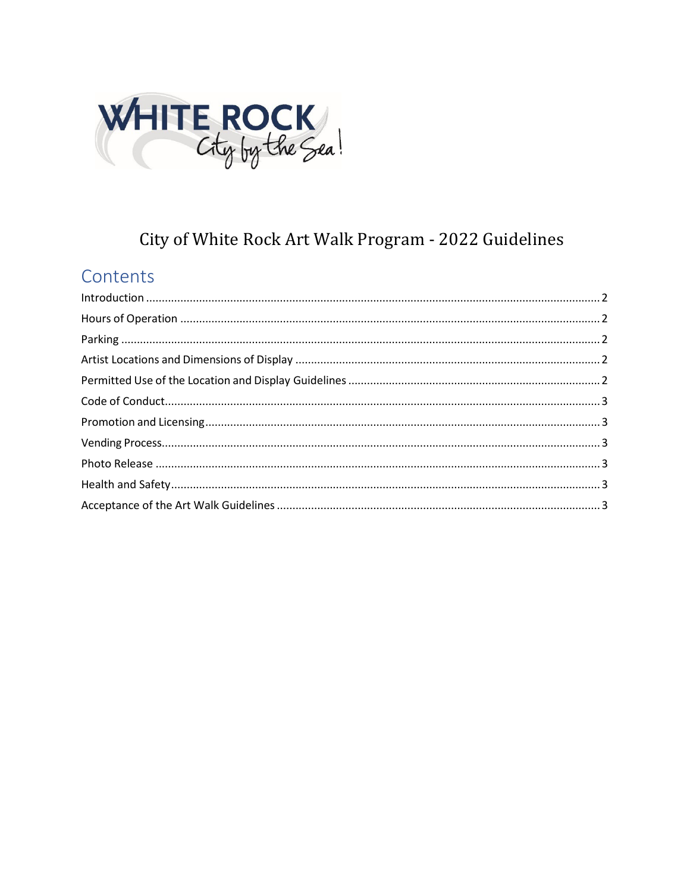

# City of White Rock Art Walk Program - 2022 Guidelines

# Contents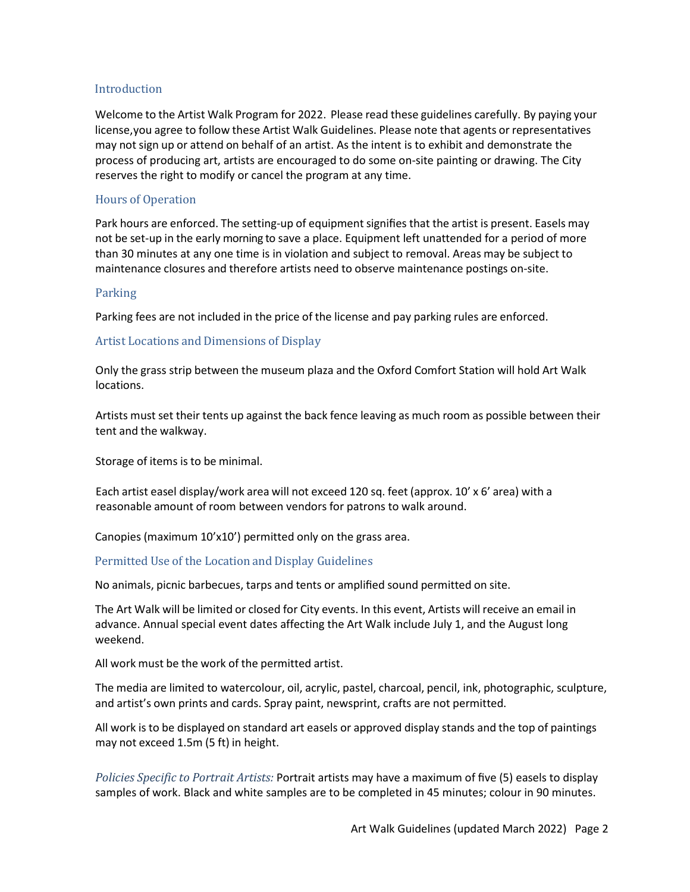### <span id="page-1-0"></span>Introduction

Welcome to the Artist Walk Program for 2022. Please read these guidelines carefully. By paying your license,you agree to follow these Artist Walk Guidelines. Please note that agents or representatives may not sign up or attend on behalf of an artist. As the intent is to exhibit and demonstrate the process of producing art, artists are encouraged to do some on-site painting or drawing. The City reserves the right to modify or cancel the program at any time.

# <span id="page-1-1"></span>Hours of Operation

Park hours are enforced. The setting-up of equipment signifies that the artist is present. Easels may not be set-up in the early morning to save a place. Equipment left unattended for a period of more than 30 minutes at any one time is in violation and subject to removal. Areas may be subject to maintenance closures and therefore artists need to observe maintenance postings on-site.

# <span id="page-1-2"></span>Parking

Parking fees are not included in the price of the license and pay parking rules are enforced.

# <span id="page-1-3"></span>Artist Locations and Dimensions of Display

Only the grass strip between the museum plaza and the Oxford Comfort Station will hold Art Walk locations.

Artists must set their tents up against the back fence leaving as much room as possible between their tent and the walkway.

Storage of items is to be minimal.

Each artist easel display/work area will not exceed 120 sq. feet (approx. 10' x 6' area) with a reasonable amount of room between vendors for patrons to walk around.

Canopies (maximum 10'x10') permitted only on the grass area.

# <span id="page-1-4"></span>Permitted Use of the Location and Display Guidelines

No animals, picnic barbecues, tarps and tents or amplified sound permitted on site.

The Art Walk will be limited or closed for City events. In this event, Artists will receive an email in advance. Annual special event dates affecting the Art Walk include July 1, and the August long weekend.

All work must be the work of the permitted artist.

The media are limited to watercolour, oil, acrylic, pastel, charcoal, pencil, ink, photographic, sculpture, and artist's own prints and cards. Spray paint, newsprint, crafts are not permitted.

All work is to be displayed on standard art easels or approved display stands and the top of paintings may not exceed 1.5m (5 ft) in height.

*Policies Specific to Portrait Artists:* Portrait artists may have a maximum of five (5) easels to display samples of work. Black and white samples are to be completed in 45 minutes; colour in 90 minutes.